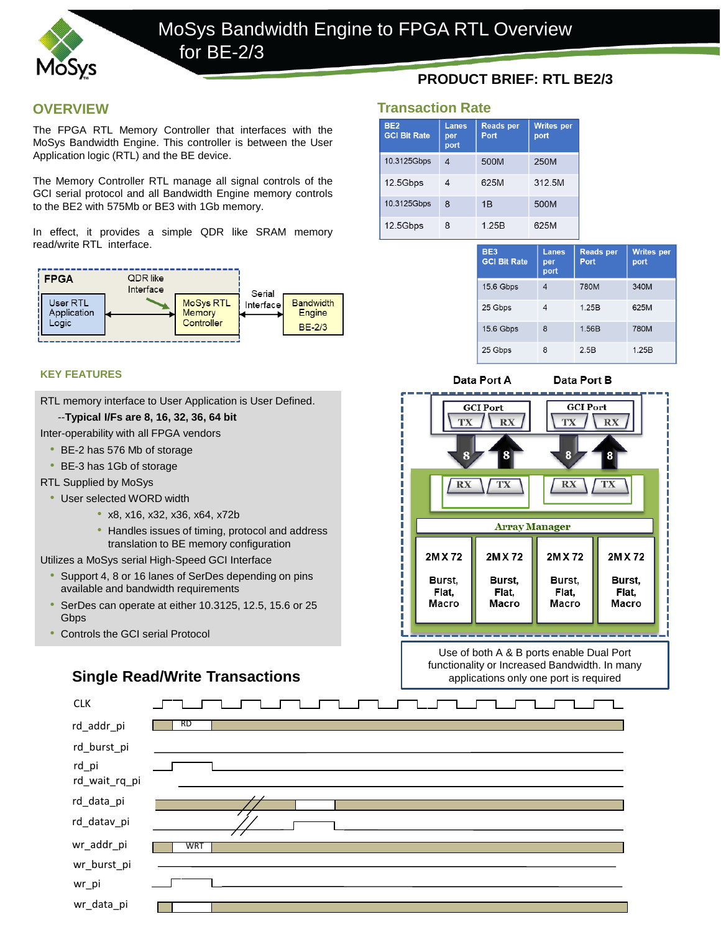

### **OVERVIEW**

The FPGA RTL Memory Controller that interfaces with the MoSys Bandwidth Engine. This controller is between the User Application logic (RTL) and the BE device.

The Memory Controller RTL manage all signal controls of the GCI serial protocol and all Bandwidth Engine memory controls to the BE2 with 575Mb or BE3 with 1Gb memory.

In effect, it provides a simple QDR like SRAM memory read/write RTL interface.



#### **KEY FEATURES**

RTL memory interface to User Application is User Defined.

#### --**Typical I/Fs are 8, 16, 32, 36, 64 bit**

Inter-operability with all FPGA vendors

- BE-2 has 576 Mb of storage
- BE-3 has 1Gb of storage
- RTL Supplied by MoSys
	- User selected WORD width
		- x8, x16, x32, x36, x64, x72b
		- Handles issues of timing, protocol and address translation to BE memory configuration

Utilizes a MoSys serial High-Speed GCI Interface

- Support 4, 8 or 16 lanes of SerDes depending on pins available and bandwidth requirements
- SerDes can operate at either 10.3125, 12.5, 15.6 or 25 **Gbps**
- Controls the GCI serial Protocol

# **Single Read/Write Transactions**

## **PRODUCT BRIEF: RTL BE2/3**

#### **Transaction Rate**

| <b>BE2</b><br><b>GCI Bit Rate</b> | <b>Lanes</b><br>per<br>port | <b>Reads per</b><br>Port | <b>Writes per</b><br>port |
|-----------------------------------|-----------------------------|--------------------------|---------------------------|
| 10.3125Gbps                       | 4                           | 500M                     | 250M                      |
| 12.5Gbps                          | 4                           | 625M                     | 312.5M                    |
| 10.3125Gbps                       | 8                           | 1B                       | 500M                      |
| 12.5Gbps                          | 8                           | 1.25B                    | 625M                      |

| BE <sub>3</sub><br><b>GCI Bit Rate</b> | <b>Lanes</b><br>per<br>port | <b>Reads per</b><br>Port | <b>Writes per</b><br>port |
|----------------------------------------|-----------------------------|--------------------------|---------------------------|
| 15.6 Gbps                              | 4                           | 780M                     | 340M                      |
| 25 Gbps                                |                             | 1.25B                    | 625M                      |
| 15.6 Gbps                              | 8                           | 1.56B                    | 780M                      |
| 25 Gbps                                | 8                           | 2.5B                     | 1.25B                     |



Data Port B



Use of both A & B ports enable Dual Port functionality or Increased Bandwidth. In many applications only one port is required